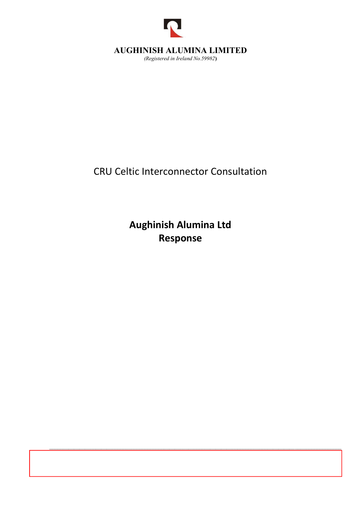

# AUGHINISH ALUMINA LIMITED

(Registered in Ireland No.59982)

CRU Celtic Interconnector Consultation

Aughinish Alumina Ltd Response

Aughinish Alumina Limited, Aughinish Island, Askeaton, Co Limerick, V94 V8F7 Ireland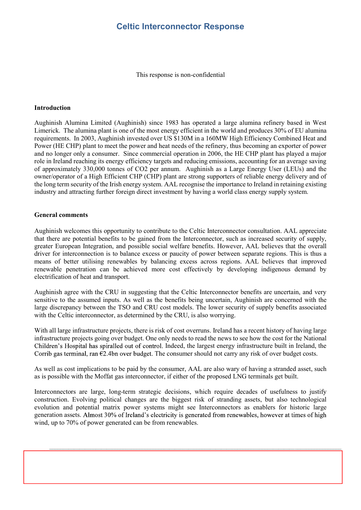## Celtic Interconnector Response

This response is non-confidential

#### Introduction

Aughinish Alumina Limited (Aughinish) since 1983 has operated a large alumina refinery based in West Limerick. The alumina plant is one of the most energy efficient in the world and produces 30% of EU alumina requirements. In 2003, Aughinish invested over US \$130M in a 160MW High Efficiency Combined Heat and Power (HE CHP) plant to meet the power and heat needs of the refinery, thus becoming an exporter of power and no longer only a consumer. Since commercial operation in 2006, the HE CHP plant has played a major role in Ireland reaching its energy efficiency targets and reducing emissions, accounting for an average saving of approximately 330,000 tonnes of CO2 per annum. Aughinish as a Large Energy User (LEUs) and the owner/operator of a High Efficient CHP (CHP) plant are strong supporters of reliable energy delivery and of the long term security of the Irish energy system. AAL recognise the importance to Ireland in retaining existing industry and attracting further foreign direct investment by having a world class energy supply system.

#### General comments

Aughinish welcomes this opportunity to contribute to the Celtic Interconnector consultation. AAL appreciate that there are potential benefits to be gained from the Interconnector, such as increased security of supply, greater European Integration, and possible social welfare benefits. However, AAL believes that the overall driver for interconnection is to balance excess or paucity of power between separate regions. This is thus a means of better utilising renewables by balancing excess across regions. AAL believes that improved renewable penetration can be achieved more cost effectively by developing indigenous demand by electrification of heat and transport. ribute to the Celtic Interconnector consultation. AAL appreciate from the Interconnector, such as increased security of supply, occial welfare benefits. However, AAL believes that the overall ss or paucity of power between

Aughinish agree with the CRU in suggesting that the Celtic Interconnector benefits are uncertain, and very sensitive to the assumed inputs. As well as the benefits being uncertain, Aughinish are concerned with the large discrepancy between the TSO and CRU cost models. The lower security of supply benefits associated with the Celtic interconnector, as determined by the CRU, is also worrying.

With all large infrastructure projects, there is risk of cost overruns. Ireland has a recent history of having large infrastructure projects going over budget. One only needs to read the news to see how the cost for the National Children's Hospital has spiralled out of control. Indeed, the largest energy infrastructure built in Ireland, the

As well as cost implications to be paid by the consumer, AAL are also wary of having a stranded asset, such as is possible with the Moffat gas interconnector, if either of the proposed LNG terminals get built.

Interconnectors are large, long-term strategic decisions, which require decades of usefulness to justify construction. Evolving political changes are the biggest risk of stranding assets, but also technological evolution and potential matrix power systems might see Interconnectors as enablers for historic large generation assets. Almost 30% of Ireland's electricity is generated from renewables, however at times of high wind, up to 70% of power generated can be from renewables.

 $A$ umina Limited, Aughinish Island, Aughinish Island, Aughinish Island, V94 V8F7 Ireland, V94 V8F7 Ireland, V94 V8F7 Ireland, V94 V8F7 Ireland, V94 V8F7 Ireland, V94 V8F7 Ireland, V94 V8F7 Ireland, V94 V8F7 Ireland, V94 V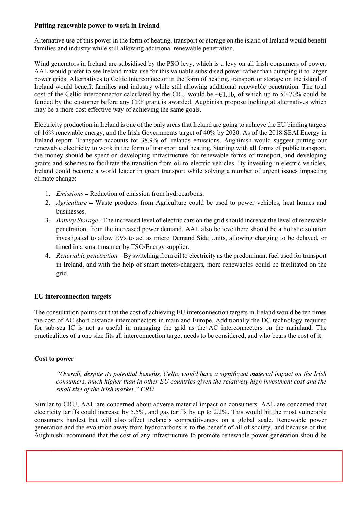#### Putting renewable power to work in Ireland

Alternative use of this power in the form of heating, transport or storage on the island of Ireland would benefit families and industry while still allowing additional renewable penetration.

Wind generators in Ireland are subsidised by the PSO levy, which is a levy on all Irish consumers of power. AAL would prefer to see Ireland make use for this valuable subsidised power rather than dumping it to larger power grids. Alternatives to Celtic Interconnector in the form of heating, transport or storage on the island of Ireland would benefit families and industry while still allowing additional renewable penetration. The total **Putting renewable power to work in Ireland**<br>Alternative use of this power in the form of heating, transport or storage on the island of Ireland would benefit<br>families and industry while still allowing additional renewabl funded by the customer before any CEF grant is awarded. Aughinish propose looking at alternatives which may be a more cost effective way of achieving the same goals.

Electricity production in Ireland is one of the only areas that Ireland are going to achieve the EU binding targets of 16% renewable energy, and the Irish Governments target of 40% by 2020. As of the 2018 SEAI Energy in Ireland report, Transport accounts for 38.9% of Irelands emissions. Aughinish would suggest putting our renewable electricity to work in the form of transport and heating. Starting with all forms of public transport, the money should be spent on developing infrastructure for renewable forms of transport, and developing grants and schemes to facilitate the transition from oil to electric vehicles. By investing in electric vehicles, Ireland could become a world leader in green transport while solving a number of urgent issues impacting climate change:

- 1. Emissions Reduction of emission from hydrocarbons.
- 2. Agriculture Waste products from Agriculture could be used to power vehicles, heat homes and businesses.
- 3. Battery Storage The increased level of electric cars on the grid should increase the level of renewable penetration, from the increased power demand. AAL also believe there should be a holistic solution investigated to allow EVs to act as micro Demand Side Units, allowing charging to be delayed, or timed in a smart manner by TSO/Energy supplier.
- 4. Renewable penetration By switching from oil to electricity as the predominant fuel used for transport in Ireland, and with the help of smart meters/chargers, more renewables could be facilitated on the grid.

## EU interconnection targets

The consultation points out that the cost of achieving EU interconnection targets in Ireland would be ten times the cost of AC short distance interconnectors in mainland Europe. Additionally the DC technology required for sub-sea IC is not as useful in managing the grid as the AC interconnectors on the mainland. The practicalities of a one size fits all interconnection target needs to be considered, and who bears the cost of it.

## Cost to power

"Overall, despite its potential benefits, Celtic would have a significant material impact on the Irish consumers, much higher than in other EU countries given the relatively high investment cost and the small size of the Irish market." CRU

Similar to CRU, AAL are concerned about adverse material impact on consumers. AAL are concerned that electricity tariffs could increase by 5.5%, and gas tariffs by up to 2.2%. This would hit the most vulnerable consumers hardest but will also affect Ireland's competitiveness on a global scale. Renewable power generation and the evolution away from hydrocarbons is to the benefit of all of society, and because of this Aughinish recommend that the cost of any infrastructure to promote renewable power generation should be

 $A$ umina Limited, Aughinish Island, Aughinish Island, Aughinish Island, V94 V8F7 Ireland, V94 V8F7 Ireland, V94 V8F7 Ireland, V94 V8F7 Ireland, V94 V8F7 Ireland, V94 V8F7 Ireland, V94 V8F7 Ireland, V94 V8F7 Ireland, V94 V